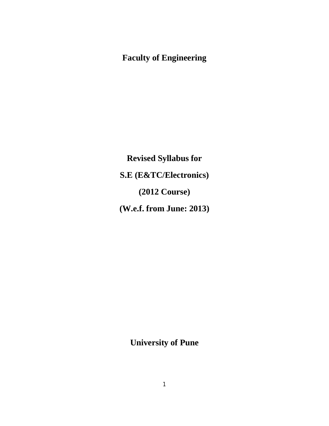# **Faculty of Engineering**

**Revised Syllabus for S.E (E&TC/Electronics) (2012 Course) (W.e.f. from June: 2013)**

**University of Pune**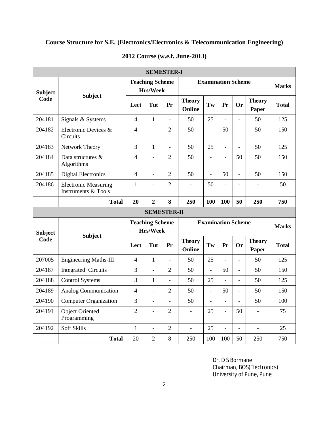# **Course Structure for S.E. (Electronics/Electronics & Telecommunication Engineering)**

| <b>SEMESTER-I</b>      |                                                    |                                    |                          |                |                           |                           |                          |                          |                        |              |
|------------------------|----------------------------------------------------|------------------------------------|--------------------------|----------------|---------------------------|---------------------------|--------------------------|--------------------------|------------------------|--------------|
| <b>Subject</b><br>Code | <b>Subject</b>                                     | <b>Teaching Scheme</b><br>Hrs/Week |                          |                | <b>Examination Scheme</b> |                           |                          |                          |                        | <b>Marks</b> |
|                        |                                                    | Lect                               | Tut                      | Pr             | <b>Theory</b><br>Online   | Tw                        | Pr                       | <b>Or</b>                | <b>Theory</b><br>Paper | <b>Total</b> |
| 204181                 | Signals & Systems                                  | $\overline{4}$                     | $\mathbf{1}$             | $\blacksquare$ | 50                        | 25                        | $\overline{a}$           | $\overline{a}$           | 50                     | 125          |
| 204182                 | Electronic Devices &<br>Circuits                   | $\overline{4}$                     | $\overline{a}$           | $\overline{2}$ | 50                        | $\overline{\phantom{a}}$  | 50                       | $\overline{a}$           | 50                     | 150          |
| 204183                 | Network Theory                                     | 3                                  | $\mathbf{1}$             | $\blacksquare$ | 50                        | 25                        | $\overline{a}$           | $\overline{a}$           | 50                     | 125          |
| 204184                 | Data structures &<br>Algorithms                    | $\overline{4}$                     | $\overline{\phantom{a}}$ | $\overline{2}$ | 50                        | $\overline{\phantom{a}}$  | $\overline{\phantom{0}}$ | 50                       | 50                     | 150          |
| 204185                 | <b>Digital Electronics</b>                         | $\overline{4}$                     | $\overline{a}$           | $\overline{2}$ | 50                        | $\overline{a}$            | 50                       | $\overline{a}$           | 50                     | 150          |
| 204186                 | <b>Electronic Measuring</b><br>Instruments & Tools | $\mathbf{1}$                       | $\overline{\phantom{a}}$ | $\overline{2}$ |                           | 50                        |                          |                          |                        | 50           |
|                        | <b>Total</b>                                       | 20                                 | $\overline{2}$           | 8              | 250                       | 100                       | 100                      | 50                       | 250                    | 750          |
| <b>SEMESTER-II</b>     |                                                    |                                    |                          |                |                           |                           |                          |                          |                        |              |
|                        |                                                    |                                    |                          |                |                           |                           |                          |                          |                        |              |
| <b>Subject</b>         |                                                    | <b>Teaching Scheme</b>             | Hrs/Week                 |                |                           | <b>Examination Scheme</b> |                          |                          |                        | <b>Marks</b> |
| Code                   | <b>Subject</b>                                     | Lect                               | Tut                      | Pr             | <b>Theory</b><br>Online   | Tw                        | Pr                       | <b>Or</b>                | <b>Theory</b><br>Paper | <b>Total</b> |
| 207005                 | <b>Engineering Maths-III</b>                       | $\overline{4}$                     | $\mathbf{1}$             | $\overline{a}$ | 50                        | 25                        |                          | $\overline{a}$           | 50                     | 125          |
| 204187                 | Integrated Circuits                                | 3                                  | $\overline{a}$           | $\overline{2}$ | 50                        |                           | 50                       | $\overline{\phantom{0}}$ | 50                     | 150          |
| 204188                 | <b>Control Systems</b>                             | 3                                  | 1                        | $\frac{1}{2}$  | 50                        | 25                        | $\overline{a}$           | $\overline{a}$           | 50                     | 125          |
| 204189                 | <b>Analog Communication</b>                        | $\overline{4}$                     | $\overline{\phantom{a}}$ | $\overline{2}$ | 50                        | $\blacksquare$            | 50                       | $\frac{1}{2}$            | 50                     | 150          |
| 204190                 | <b>Computer Organization</b>                       | $\overline{3}$                     | $\frac{1}{2}$            | $\overline{a}$ | 50                        | $\bar{\phantom{a}}$       | $\overline{a}$           | $\overline{a}$           | 50                     | 100          |
| 204191                 | <b>Object Oriented</b><br>Programming              | $\overline{2}$                     | $\overline{a}$           | $\overline{2}$ | $\overline{a}$            | 25                        | $\overline{a}$           | 50                       |                        | 75           |
| 204192                 | Soft Skills                                        | $\mathbf{1}$                       | $\overline{a}$           | $\overline{2}$ | $\overline{a}$            | 25                        | $\overline{a}$           | $\overline{a}$           | $\overline{a}$         | 25           |

### **2012 Course (w.e.f. June-2013)**

Dr. D S Bormane Chairman, BOS(Electronics) University of Pune, Pune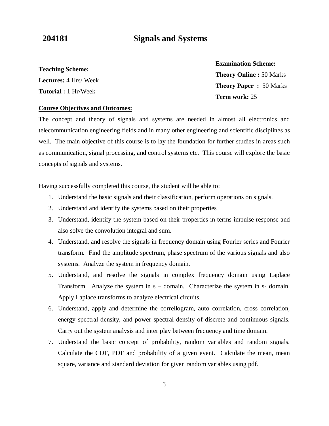# **204181 Signals and Systems**

**Teaching Scheme: Lectures:** 4 Hrs/ Week **Tutorial :** 1 Hr/Week

**Examination Scheme: Theory Online :** 50 Marks **Theory Paper :** 50 Marks **Term work:** 25

#### **Course Objectives and Outcomes:**

The concept and theory of signals and systems are needed in almost all electronics and telecommunication engineering fields and in many other engineering and scientific disciplines as well. The main objective of this course is to lay the foundation for further studies in areas such as communication, signal processing, and control systems etc. This course will explore the basic concepts of signals and systems.

Having successfully completed this course, the student will be able to:

- 1. Understand the basic signals and their classification, perform operations on signals.
- 2. Understand and identify the systems based on their properties
- 3. Understand, identify the system based on their properties in terms impulse response and also solve the convolution integral and sum.
- 4. Understand, and resolve the signals in frequency domain using Fourier series and Fourier transform. Find the amplitude spectrum, phase spectrum of the various signals and also systems. Analyze the system in frequency domain.
- 5. Understand, and resolve the signals in complex frequency domain using Laplace Transform. Analyze the system in s – domain. Characterize the system in s- domain. Apply Laplace transforms to analyze electrical circuits.
- 6. Understand, apply and determine the correllogram, auto correlation, cross correlation, energy spectral density, and power spectral density of discrete and continuous signals. Carry out the system analysis and inter play between frequency and time domain.
- 7. Understand the basic concept of probability, random variables and random signals. Calculate the CDF, PDF and probability of a given event. Calculate the mean, mean square, variance and standard deviation for given random variables using pdf.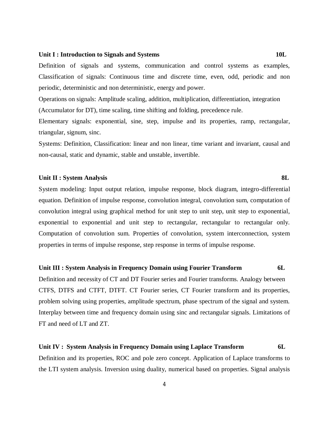#### Unit I : Introduction to Signals and Systems 10L

Definition of signals and systems, communication and control systems as examples, Classification of signals: Continuous time and discrete time, even, odd, periodic and non periodic, deterministic and non deterministic, energy and power.

Operations on signals: Amplitude scaling, addition, multiplication, differentiation, integration (Accumulator for DT), time scaling, time shifting and folding, precedence rule.

Elementary signals: exponential, sine, step, impulse and its properties, ramp, rectangular, triangular, signum, sinc.

Systems: Definition, Classification: linear and non linear, time variant and invariant, causal and non-causal, static and dynamic, stable and unstable, invertible.

#### **Unit II : System Analysis 8L**

System modeling: Input output relation, impulse response, block diagram, integro-differential equation. Definition of impulse response, convolution integral, convolution sum, computation of convolution integral using graphical method for unit step to unit step, unit step to exponential, exponential to exponential and unit step to rectangular, rectangular to rectangular only. Computation of convolution sum. Properties of convolution, system interconnection, system properties in terms of impulse response, step response in terms of impulse response.

#### **Unit III : System Analysis in Frequency Domain using Fourier Transform 6L**

Definition and necessity of CT and DT Fourier series and Fourier transforms. Analogy between CTFS, DTFS and CTFT, DTFT. CT Fourier series, CT Fourier transform and its properties, problem solving using properties, amplitude spectrum, phase spectrum of the signal and system. Interplay between time and frequency domain using sinc and rectangular signals. Limitations of FT and need of LT and ZT.

#### **Unit IV : System Analysis in Frequency Domain using Laplace Transform 6L**

Definition and its properties, ROC and pole zero concept. Application of Laplace transforms to the LTI system analysis. Inversion using duality, numerical based on properties. Signal analysis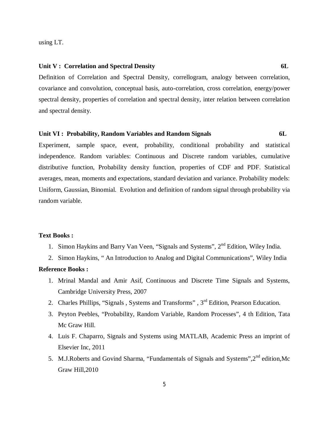using LT.

#### **Unit V : Correlation and Spectral Density 6L**

Definition of Correlation and Spectral Density, correllogram, analogy between correlation, covariance and convolution, conceptual basis, auto-correlation, cross correlation, energy/power spectral density, properties of correlation and spectral density, inter relation between correlation and spectral density.

### **Unit VI : Probability, Random Variables and Random Signals 6L**

Experiment, sample space, event, probability, conditional probability and statistical independence. Random variables: Continuous and Discrete random variables, cumulative distributive function, Probability density function, properties of CDF and PDF. Statistical averages, mean, moments and expectations, standard deviation and variance. Probability models: Uniform, Gaussian, Binomial. Evolution and definition of random signal through probability via random variable.

#### **Text Books :**

- 1. Simon Haykins and Barry Van Veen, "Signals and Systems", 2<sup>nd</sup> Edition, Wiley India.
- 2. Simon Haykins, " An Introduction to Analog and Digital Communications", Wiley India

### **Reference Books :**

- 1. Mrinal Mandal and Amir Asif, Continuous and Discrete Time Signals and Systems, Cambridge University Press, 2007
- 2. Charles Phillips, "Signals, Systems and Transforms", 3<sup>rd</sup> Edition, Pearson Education.
- 3. Peyton Peebles, "Probability, Random Variable, Random Processes", 4 th Edition, Tata Mc Graw Hill.
- 4. Luis F. Chaparro, Signals and Systems using MATLAB, Academic Press an imprint of Elsevier Inc, 2011
- 5. M.J.Roberts and Govind Sharma, "Fundamentals of Signals and Systems", 2<sup>nd</sup> edition, Mc Graw Hill,2010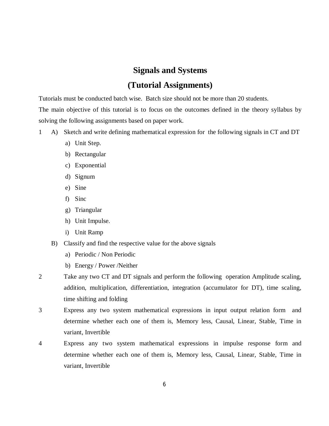# **Signals and Systems**

# **(Tutorial Assignments)**

Tutorials must be conducted batch wise. Batch size should not be more than 20 students.

The main objective of this tutorial is to focus on the outcomes defined in the theory syllabus by solving the following assignments based on paper work.

- 1 A) Sketch and write defining mathematical expression for the following signals in CT and DT
	- a) Unit Step.
	- b) Rectangular
	- c) Exponential
	- d) Signum
	- e) Sine
	- f) Sinc
	- g) Triangular
	- h) Unit Impulse.
	- i) Unit Ramp
	- B) Classify and find the respective value for the above signals
		- a) Periodic / Non Periodic
		- b) Energy / Power /Neither
- 2 Take any two CT and DT signals and perform the following operation Amplitude scaling, addition, multiplication, differentiation, integration (accumulator for DT), time scaling, time shifting and folding
- 3 Express any two system mathematical expressions in input output relation form and determine whether each one of them is, Memory less, Causal, Linear, Stable, Time in variant, Invertible
- 4 Express any two system mathematical expressions in impulse response form and determine whether each one of them is, Memory less, Causal, Linear, Stable, Time in variant, Invertible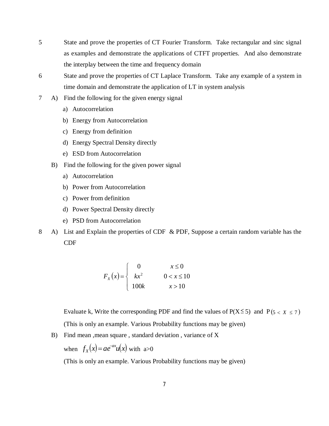- 5 State and prove the properties of CT Fourier Transform. Take rectangular and sinc signal as examples and demonstrate the applications of CTFT properties. And also demonstrate the interplay between the time and frequency domain
- 6 State and prove the properties of CT Laplace Transform. Take any example of a system in time domain and demonstrate the application of LT in system analysis
- 7 A) Find the following for the given energy signal
	- a) Autocorrelation
	- b) Energy from Autocorrelation
	- c) Energy from definition
	- d) Energy Spectral Density directly
	- e) ESD from Autocorrelation
	- B) Find the following for the given power signal
		- a) Autocorrelation
		- b) Power from Autocorrelation
		- c) Power from definition
		- d) Power Spectral Density directly
		- e) PSD from Autocorrelation
- 8 A) List and Explain the properties of CDF & PDF, Suppose a certain random variable has the CDF

$$
F_x(x) = \begin{cases} 0 & x \le 0\\ kx^2 & 0 < x \le 10\\ 100k & x > 10 \end{cases}
$$

Evaluate k, Write the corresponding PDF and find the values of  $P(X \le 5)$  and  $P(5 < X \le 7)$ (This is only an example. Various Probability functions may be given)

B) Find mean ,mean square , standard deviation , variance of X

when  $f_X(x) = ae^{-ax}u(x)$ *X*  $=ae^{-ax}u(x)$  with a>0

(This is only an example. Various Probability functions may be given)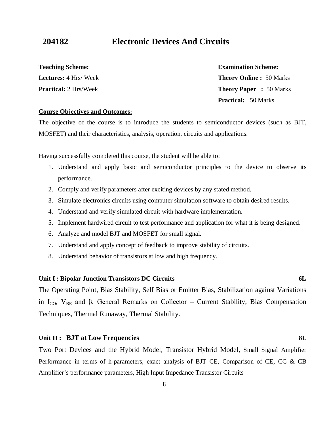# **204182 Electronic Devices And Circuits**

**Teaching Scheme: Lectures:** 4 Hrs/ Week **Practical:** 2 Hrs/Week

**Theory Online :** 50 Marks **Theory Paper :** 50 Marks **Practical:** 50 Marks

#### **Course Objectives and Outcomes:**

The objective of the course is to introduce the students to semiconductor devices (such as BJT, MOSFET) and their characteristics, analysis, operation, circuits and applications.

Having successfully completed this course, the student will be able to:

- 1. Understand and apply basic and semiconductor principles to the device to observe its performance.
- 2. Comply and verify parameters after exciting devices by any stated method.
- 3. Simulate electronics circuits using computer simulation software to obtain desired results.
- 4. Understand and verify simulated circuit with hardware implementation.
- 5. Implement hardwired circuit to test performance and application for what it is being designed.
- 6. Analyze and model BJT and MOSFET for small signal.
- 7. Understand and apply concept of feedback to improve stability of circuits.
- 8. Understand behavior of transistors at low and high frequency.

#### **Unit I : Bipolar Junction Transistors DC Circuits 6L**

The Operating Point, Bias Stability, Self Bias or Emitter Bias, Stabilization against Variations in I<sub>CO</sub>, V<sub>BE</sub> and β, General Remarks on Collector – Current Stability, Bias Compensation Techniques, Thermal Runaway, Thermal Stability.

#### **Unit II : BJT at Low Frequencies 8L**

Two Port Devices and the Hybrid Model, Transistor Hybrid Model, Small Signal Amplifier Performance in terms of h-parameters, exact analysis of BJT CE, Comparison of CE, CC & CB Amplifier's performance parameters, High Input Impedance Transistor Circuits

# **Examination Scheme:**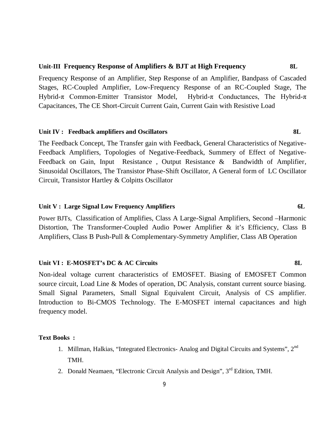### **Unit-III Frequency Response of Amplifiers & BJT at High Frequency 8L**

Frequency Response of an Amplifier, Step Response of an Amplifier, Bandpass of Cascaded Stages, RC-Coupled Amplifier, Low-Frequency Response of an RC-Coupled Stage, The Hybrid-π Common-Emitter Transistor Model, Hybrid-π Conductances, The Hybrid-π Capacitances, The CE Short-Circuit Current Gain, Current Gain with Resistive Load

### **Unit IV : Feedback amplifiers and Oscillators 8L**

The Feedback Concept, The Transfer gain with Feedback, General Characteristics of Negative-Feedback Amplifiers, Topologies of Negative-Feedback, Summery of Effect of Negative-Feedback on Gain, Input Resistance , Output Resistance & Bandwidth of Amplifier, Sinusoidal Oscillators, The Transistor Phase-Shift Oscillator, A General form of LC Oscillator Circuit, Transistor Hartley & Colpitts Oscillator

### Unit V : Large Signal Low Frequency Amplifiers 6L

Power BJTs, Classification of Amplifies, Class A Large-Signal Amplifiers, Second –Harmonic Distortion, The Transformer-Coupled Audio Power Amplifier & it's Efficiency, Class B Amplifiers, Class B Push-Pull & Complementary-Symmetry Amplifier, Class AB Operation

#### **Unit VI : E-MOSFET's DC & AC Circuits 8L**

Non-ideal voltage current characteristics of EMOSFET. Biasing of EMOSFET Common source circuit, Load Line & Modes of operation, DC Analysis, constant current source biasing. Small Signal Parameters, Small Signal Equivalent Circuit, Analysis of CS amplifier. Introduction to Bi-CMOS Technology. The E-MOSFET internal capacitances and high frequency model.

#### **Text Books :**

- 1. Millman, Halkias, "Integrated Electronics- Analog and Digital Circuits and Systems", 2<sup>nd</sup> TMH.
- 2. Donald Neamaen, "Electronic Circuit Analysis and Design", 3<sup>rd</sup> Edition, TMH.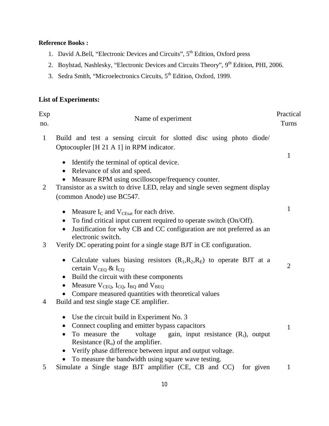# **Reference Books :**

- 1. David A.Bell, "Electronic Devices and Circuits", 5<sup>th</sup> Edition, Oxford press
- 2. Boylstad, Nashlesky, "Electronic Devices and Circuits Theory", 9<sup>th</sup> Edition, PHI, 2006.
- 3. Sedra Smith, "Microelectronics Circuits, 5th Edition, Oxford, 1999.

# **List of Experiments:**

| Exp<br>no.     | Name of experiment                                                                                                                                                                                                                                                                                                                                                                        | Practical<br>Turns |
|----------------|-------------------------------------------------------------------------------------------------------------------------------------------------------------------------------------------------------------------------------------------------------------------------------------------------------------------------------------------------------------------------------------------|--------------------|
| $\mathbf{1}$   | Build and test a sensing circuit for slotted disc using photo diode/<br>Optocoupler [H 21 A 1] in RPM indicator.                                                                                                                                                                                                                                                                          |                    |
| $\overline{2}$ | Identify the terminal of optical device.<br>$\bullet$<br>Relevance of slot and speed.<br>$\bullet$<br>Measure RPM using oscilloscope/frequency counter.<br>Transistor as a switch to drive LED, relay and single seven segment display<br>(common Anode) use BC547.                                                                                                                       | 1                  |
|                | Measure $I_C$ and $V_{CEsat}$ for each drive.<br>$\bullet$<br>To find critical input current required to operate switch (On/Off).<br>Justification for why CB and CC configuration are not preferred as an<br>electronic switch.                                                                                                                                                          | $\mathbf{1}$       |
| 3              | Verify DC operating point for a single stage BJT in CE configuration.                                                                                                                                                                                                                                                                                                                     |                    |
| 4              | Calculate values biasing resistors $(R_1, R_2, R_E)$ to operate BJT at a<br>$\bullet$<br>certain $V_{\text{CEO}} \&$ I <sub>co</sub><br>Build the circuit with these components<br>$\bullet$<br>Measure $V_{CEQ}$ , $I_{CO}$ , $I_{BO}$ and $V_{BEQ}$<br>$\bullet$<br>Compare measured quantities with theoretical values<br>Build and test single stage CE amplifier.                    | $\overline{2}$     |
|                | Use the circuit build in Experiment No. 3<br>$\bullet$<br>Connect coupling and emitter bypass capacitors<br>$\bullet$<br>To measure the<br>voltage gain, input resistance (R <sub>i</sub> ), output<br>$\bullet$<br>Resistance $(R_0)$ of the amplifier.<br>Verify phase difference between input and output voltage.<br>$\bullet$<br>To measure the bandwidth using square wave testing. | 1                  |
| 5              | Simulate a Single stage BJT amplifier (CE, CB and CC) for given                                                                                                                                                                                                                                                                                                                           | $\mathbf{1}$       |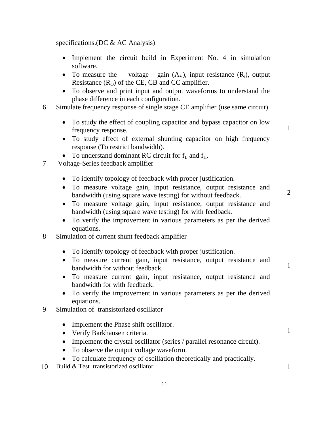specifications.(DC & AC Analysis)

- Implement the circuit build in Experiment No. 4 in simulation software.
- To measure the voltage gain  $(A_v)$ , input resistance  $(R_i)$ , output Resistance  $(R<sub>O</sub>)$  of the CE, CB and CC amplifier.
- To observe and print input and output waveforms to understand the phase difference in each configuration.
- 6 Simulate frequency response of single stage CE amplifier (use same circuit)
	- To study the effect of coupling capacitor and bypass capacitor on low frequency response.

1

- To study effect of external shunting capacitor on high frequency response (To restrict bandwidth).
- To understand dominant RC circuit for  $f_L$  and  $f_H$ .
- 7 Voltage-Series feedback amplifier
	- To identify topology of feedback with proper justification.
	- To measure voltage gain, input resistance, output resistance and bandwidth (using square wave testing) for without feedback.

2

1

1

- To measure voltage gain, input resistance, output resistance and bandwidth (using square wave testing) for with feedback.
- To verify the improvement in various parameters as per the derived equations.
- 8 Simulation of current shunt feedback amplifier
	- To identify topology of feedback with proper justification.
	- To measure current gain, input resistance, output resistance and bandwidth for without feedback.
	- To measure current gain, input resistance, output resistance and bandwidth for with feedback.
	- To verify the improvement in various parameters as per the derived equations.
- 9 Simulation of transistorized oscillator
	- Implement the Phase shift oscillator.
	- Verify Barkhausen criteria.
	- Implement the crystal oscillator (series / parallel resonance circuit).
	- To observe the output voltage waveform.
	- To calculate frequency of oscillation theoretically and practically.
- 10 Build & Test transistorized oscillator 1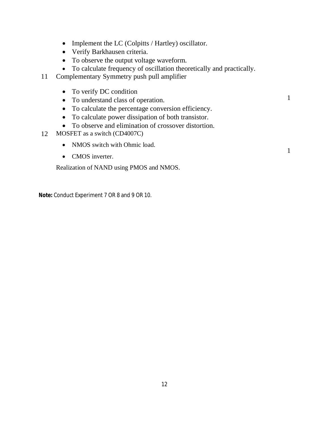- Implement the LC (Colpitts / Hartley) oscillator.
- Verify Barkhausen criteria.
- To observe the output voltage waveform.
- To calculate frequency of oscillation theoretically and practically.

1

1

- 11 Complementary Symmetry push pull amplifier
	- To verify DC condition
	- To understand class of operation.
	- To calculate the percentage conversion efficiency.
	- To calculate power dissipation of both transistor.
	- To observe and elimination of crossover distortion.
- 12 MOSFET as a switch (CD4007C)
	- NMOS switch with Ohmic load.
	- CMOS inverter.

Realization of NAND using PMOS and NMOS.

**Note:** Conduct Experiment 7 OR 8 and 9 OR 10.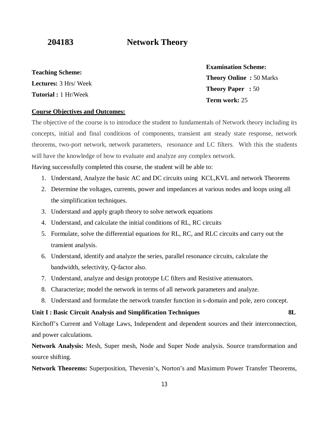# **204183 Network Theory**

**Teaching Scheme: Lectures:** 3 Hrs/ Week **Tutorial :** 1 Hr/Week

**Examination Scheme: Theory Online :** 50 Marks **Theory Paper :** 50 **Term work:** 25

### **Course Objectives and Outcomes:**

The objective of the course is to introduce the student to fundamentals of Network theory including its concepts, initial and final conditions of components, transient ant steady state response, network theorems, two-port network, network parameters, resonance and LC filters. With this the students will have the knowledge of how to evaluate and analyze any complex network.

Having successfully completed this course, the student will be able to:

- 1. Understand, Analyze the basic AC and DC circuits using KCL,KVL and network Theorems
- 2. Determine the voltages, currents, power and impedances at various nodes and loops using all the simplification techniques.
- 3. Understand and apply graph theory to solve network equations
- 4. Understand, and calculate the initial conditions of RL, RC circuits
- 5. Formulate, solve the differential equations for RL, RC, and RLC circuits and carry out the transient analysis.
- 6. Understand, identify and analyze the series, parallel resonance circuits, calculate the bandwidth, selectivity, Q-factor also.
- 7. Understand, analyze and design prototype LC filters and Resistive attenuators.
- 8. Characterize; model the network in terms of all network parameters and analyze.
- 8. Understand and formulate the network transfer function in s-domain and pole, zero concept.

### **Unit I : Basic Circuit Analysis and Simplification Techniques 8L**

Kirchoff's Current and Voltage Laws, Independent and dependent sources and their interconnection, and power calculations.

**Network Analysis:** Mesh, Super mesh, Node and Super Node analysis. Source transformation and source shifting.

**Network Theorems:** Superposition, Thevenin's, Norton's and Maximum Power Transfer Theorems,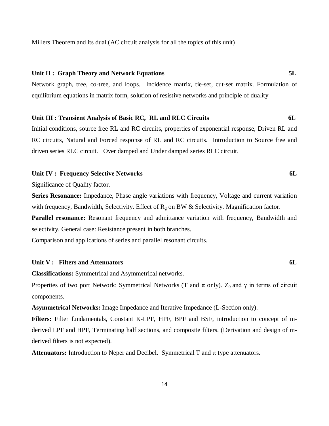Millers Theorem and its dual.(AC circuit analysis for all the topics of this unit)

### **Unit II : Graph Theory and Network Equations 5L**

Network graph, tree, co-tree, and loops. Incidence matrix, tie-set, cut-set matrix. Formulation of equilibrium equations in matrix form, solution of resistive networks and principle of duality

#### **Unit III : Transient Analysis of Basic RC, RL and RLC Circuits 6L**

Initial conditions, source free RL and RC circuits, properties of exponential response, Driven RL and RC circuits, Natural and Forced response of RL and RC circuits. Introduction to Source free and driven series RLC circuit. Over damped and Under damped series RLC circuit.

#### Unit IV : Frequency Selective Networks **6L**

Significance of Quality factor.

**Series Resonance:** Impedance, Phase angle variations with frequency, Voltage and current variation with frequency, Bandwidth, Selectivity. Effect of  $R<sub>g</sub>$  on BW & Selectivity. Magnification factor.

**Parallel resonance:** Resonant frequency and admittance variation with frequency, Bandwidth and selectivity. General case: Resistance present in both branches.

Comparison and applications of series and parallel resonant circuits.

#### **Unit V : Filters and Attenuators 6L**

**Classifications:** Symmetrical and Asymmetrical networks.

Properties of two port Network: Symmetrical Networks (T and  $\pi$  only). Z<sub>0</sub> and  $\gamma$  in terms of circuit components.

**Asymmetrical Networks:** Image Impedance and Iterative Impedance (L-Section only).

**Filters:** Filter fundamentals, Constant K-LPF, HPF, BPF and BSF, introduction to concept of mderived LPF and HPF, Terminating half sections, and composite filters. (Derivation and design of mderived filters is not expected).

**Attenuators:** Introduction to Neper and Decibel. Symmetrical T and  $\pi$  type attenuators.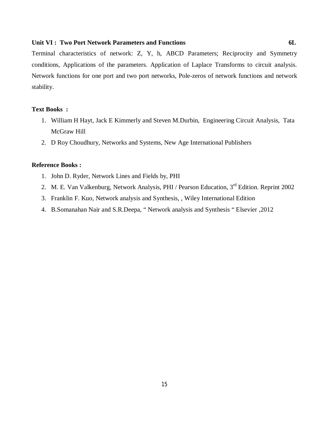#### **Unit VI : Two Port Network Parameters and Functions 6L**

Terminal characteristics of network: Z, Y, h, ABCD Parameters; Reciprocity and Symmetry conditions, Applications of the parameters. Application of Laplace Transforms to circuit analysis. Network functions for one port and two port networks, Pole-zeros of network functions and network stability.

### **Text Books :**

- 1. William H Hayt, Jack E Kimmerly and Steven M.Durbin, Engineering Circuit Analysis, Tata McGraw Hill
- 2. D Roy Choudhury, Networks and Systems, New Age International Publishers

#### **Reference Books :**

- 1. John D. Ryder, Network Lines and Fields by, PHI
- 2. M. E. Van Valkenburg, Network Analysis, PHI / Pearson Education, 3<sup>rd</sup> Edition. Reprint 2002
- 3. Franklin F. Kuo, Network analysis and Synthesis, , Wiley International Edition
- 4. B.Somanahan Nair and S.R.Deepa, " Network analysis and Synthesis " Elsevier ,2012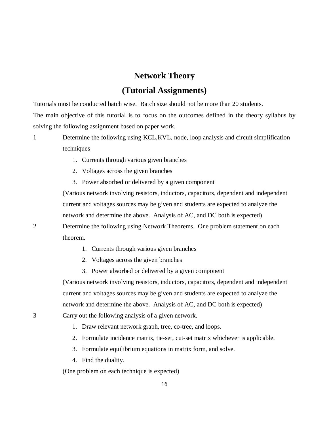# **Network Theory**

# **(Tutorial Assignments)**

Tutorials must be conducted batch wise. Batch size should not be more than 20 students. The main objective of this tutorial is to focus on the outcomes defined in the theory syllabus by solving the following assignment based on paper work.

1 Determine the following using KCL,KVL, node, loop analysis and circuit simplification techniques

- 1. Currents through various given branches
- 2. Voltages across the given branches
- 3. Power absorbed or delivered by a given component

(Various network involving resistors, inductors, capacitors, dependent and independent current and voltages sources may be given and students are expected to analyze the network and determine the above. Analysis of AC, and DC both is expected) 2 Determine the following using Network Theorems. One problem statement on each theorem.

- 1. Currents through various given branches
- 2. Voltages across the given branches
- 3. Power absorbed or delivered by a given component

(Various network involving resistors, inductors, capacitors, dependent and independent current and voltages sources may be given and students are expected to analyze the network and determine the above. Analysis of AC, and DC both is expected)

3 Carry out the following analysis of a given network.

- 1. Draw relevant network graph, tree, co-tree, and loops.
- 2. Formulate incidence matrix, tie-set, cut-set matrix whichever is applicable.
- 3. Formulate equilibrium equations in matrix form, and solve.

16

4. Find the duality.

(One problem on each technique is expected)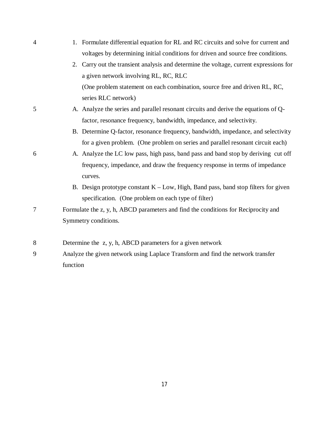| $\overline{4}$ | 1. Formulate differential equation for RL and RC circuits and solve for current and       |
|----------------|-------------------------------------------------------------------------------------------|
|                | voltages by determining initial conditions for driven and source free conditions.         |
|                | Carry out the transient analysis and determine the voltage, current expressions for<br>2. |
|                | a given network involving RL, RC, RLC                                                     |
|                | (One problem statement on each combination, source free and driven RL, RC,                |
|                | series RLC network)                                                                       |
| 5              | A. Analyze the series and parallel resonant circuits and derive the equations of Q-       |
|                | factor, resonance frequency, bandwidth, impedance, and selectivity.                       |
|                | B. Determine Q-factor, resonance frequency, bandwidth, impedance, and selectivity         |
|                | for a given problem. (One problem on series and parallel resonant circuit each)           |
| 6              | A. Analyze the LC low pass, high pass, band pass and band stop by deriving cut off        |
|                | frequency, impedance, and draw the frequency response in terms of impedance               |
|                | curves.                                                                                   |
|                | B. Design prototype constant $K - Low$ , High, Band pass, band stop filters for given     |
|                | specification. (One problem on each type of filter)                                       |
| $\overline{7}$ | Formulate the z, y, h, ABCD parameters and find the conditions for Reciprocity and        |
|                | Symmetry conditions.                                                                      |
|                |                                                                                           |
| 8              | Determine the z, y, h, ABCD parameters for a given network                                |
| 9              | Analyze the given network using Laplace Transform and find the network transfer           |
|                | function                                                                                  |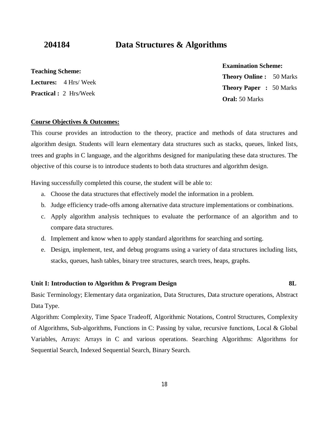# **204184 Data Structures & Algorithms**

### **Teaching Scheme:**

**Lectures:** 4 Hrs/ Week **Practical :** 2 Hrs/Week

**Examination Scheme:**

**Theory Online :** 50 Marks **Theory Paper :** 50 Marks **Oral:** 50 Marks

#### **Course Objectives & Outcomes:**

This course provides an introduction to the theory, practice and methods of data structures and algorithm design. Students will learn elementary data structures such as stacks, queues, linked lists, trees and graphs in C language, and the algorithms designed for manipulating these data structures. The objective of this course is to introduce students to both data structures and algorithm design.

Having successfully completed this course, the student will be able to:

- a. Choose the data structures that effectively model the information in a problem.
- b. Judge efficiency trade-offs among alternative data structure implementations or combinations.
- c. Apply algorithm analysis techniques to evaluate the performance of an algorithm and to compare data structures.
- d. Implement and know when to apply standard algorithms for searching and sorting.
- e. Design, implement, test, and debug programs using a variety of data structures including lists, stacks, queues, hash tables, binary tree structures, search trees, heaps, graphs.

### **Unit I: Introduction to Algorithm & Program Design 8L**

Basic Terminology; Elementary data organization, Data Structures, Data structure operations, Abstract Data Type.

Algorithm: Complexity, Time Space Tradeoff, Algorithmic Notations, Control Structures, Complexity of Algorithms, Sub-algorithms, Functions in C: Passing by value, recursive functions, Local & Global Variables, Arrays: Arrays in C and various operations. Searching Algorithms: Algorithms for Sequential Search, Indexed Sequential Search, Binary Search.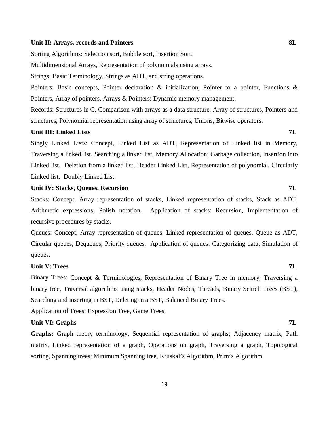#### Unit II: Arrays, records and Pointers 8L

Sorting Algorithms: Selection sort, Bubble sort, Insertion Sort.

Multidimensional Arrays, Representation of polynomials using arrays.

Strings: Basic Terminology, Strings as ADT, and string operations.

Pointers: Basic concepts, Pointer declaration & initialization, Pointer to a pointer, Functions & Pointers, Array of pointers, Arrays & Pointers: Dynamic memory management.

Records: Structures in C, Comparison with arrays as a data structure. Array of structures, Pointers and structures, Polynomial representation using array of structures, Unions, Bitwise operators.

#### **Unit III: Linked Lists 7L**

Singly Linked Lists: Concept, Linked List as ADT, Representation of Linked list in Memory, Traversing a linked list, Searching a linked list, Memory Allocation; Garbage collection, Insertion into Linked list, Deletion from a linked list, Header Linked List, Representation of polynomial, Circularly Linked list, Doubly Linked List.

### **Unit IV: Stacks, Queues, Recursion 7L**

Stacks: Concept, Array representation of stacks, Linked representation of stacks, Stack as ADT, Arithmetic expressions; Polish notation. Application of stacks: Recursion, Implementation of recursive procedures by stacks.

Queues: Concept, Array representation of queues, Linked representation of queues, Queue as ADT, Circular queues, Dequeues, Priority queues. Application of queues: Categorizing data, Simulation of queues.

### **Unit V: Trees 7L**

Binary Trees: Concept & Terminologies, Representation of Binary Tree in memory, Traversing a binary tree, Traversal algorithms using stacks, Header Nodes; Threads, Binary Search Trees (BST), Searching and inserting in BST, Deleting in a BST**,** Balanced Binary Trees. Application of Trees: Expression Tree, Game Trees.

**Unit VI: Graphs 7L**

**Graphs:** Graph theory terminology, Sequential representation of graphs; Adjacency matrix, Path matrix, Linked representation of a graph, Operations on graph, Traversing a graph, Topological sorting, Spanning trees; Minimum Spanning tree, Kruskal's Algorithm, Prim's Algorithm.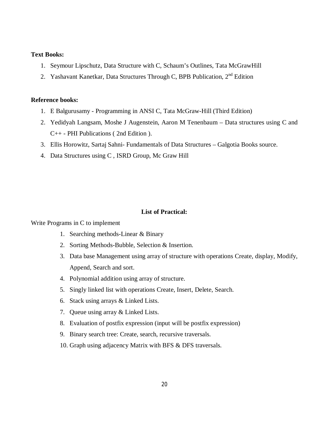#### **Text Books:**

- 1. Seymour Lipschutz, Data Structure with C, Schaum's Outlines, Tata McGrawHill
- 2. Yashavant Kanetkar, Data Structures Through C, BPB Publication, 2<sup>nd</sup> Edition

### **Reference books:**

- 1. E Balgurusamy Programming in ANSI C, Tata McGraw-Hill (Third Edition)
- 2. Yedidyah Langsam, Moshe J Augenstein, Aaron M Tenenbaum Data structures using C and C++ - PHI Publications ( 2nd Edition ).
- 3. Ellis Horowitz, Sartaj Sahni- Fundamentals of Data Structures Galgotia Books source.
- 4. Data Structures using C , ISRD Group, Mc Graw Hill

### **List of Practical:**

#### Write Programs in C to implement

- 1. Searching methods-Linear & Binary
- 2. Sorting Methods-Bubble, Selection & Insertion.
- 3. Data base Management using array of structure with operations Create, display, Modify, Append, Search and sort.
- 4. Polynomial addition using array of structure.
- 5. Singly linked list with operations Create, Insert, Delete, Search.
- 6. Stack using arrays & Linked Lists.
- 7. Queue using array & Linked Lists.
- 8. Evaluation of postfix expression (input will be postfix expression)
- 9. Binary search tree: Create, search, recursive traversals.
- 10. Graph using adjacency Matrix with BFS & DFS traversals.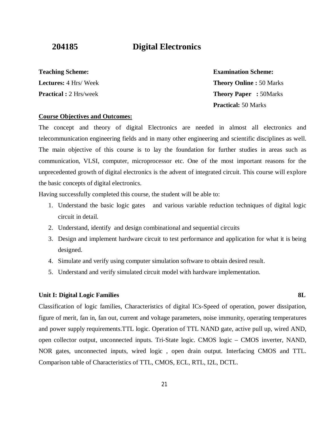# **204185 Digital Electronics**

# **Teaching Scheme:**

**Lectures:** 4 Hrs/ Week **Practical :** 2 Hrs/week **Examination Scheme: Theory Online :** 50 Marks **Theory Paper :** 50Marks **Practical:** 50 Marks

### **Course Objectives and Outcomes:**

The concept and theory of digital Electronics are needed in almost all electronics and telecommunication engineering fields and in many other engineering and scientific disciplines as well. The main objective of this course is to lay the foundation for further studies in areas such as communication, VLSI, computer, microprocessor etc. One of the most important reasons for the unprecedented growth of digital electronics is the advent of integrated circuit. This course will explore the basic concepts of digital electronics.

Having successfully completed this course, the student will be able to:

- 1. Understand the basic logic gates and various variable reduction techniques of digital logic circuit in detail.
- 2. Understand, identify and design combinational and sequential circuits
- 3. Design and implement hardware circuit to test performance and application for what it is being designed.
- 4. Simulate and verify using computer simulation software to obtain desired result.
- 5. Understand and verify simulated circuit model with hardware implementation.

### **Unit I: Digital Logic Families 8L**  81

Classification of logic families, Characteristics of digital ICs-Speed of operation, power dissipation, figure of merit, fan in, fan out, current and voltage parameters, noise immunity, operating temperatures and power supply requirements.TTL logic. Operation of TTL NAND gate, active pull up, wired AND, open collector output, unconnected inputs. Tri-State logic. CMOS logic – CMOS inverter, NAND, NOR gates, unconnected inputs, wired logic , open drain output. Interfacing CMOS and TTL. Comparison table of Characteristics of TTL, CMOS, ECL, RTL, I2L, DCTL.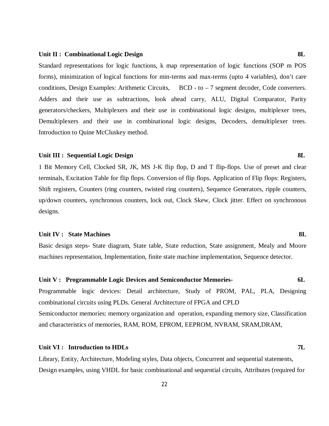#### **Unit II : Combinational Logic Design 8L**

Standard representations for logic functions, k map representation of logic functions (SOP m POS forms), minimization of logical functions for min-terms and max-terms (upto 4 variables), don't care conditions, Design Examples: Arithmetic Circuits, BCD - to - 7 segment decoder, Code converters. Adders and their use as subtractions, look ahead carry, ALU, Digital Comparator, Parity generators/checkers, Multiplexers and their use in combinational logic designs, multiplexer trees, Demultiplexers and their use in combinational logic designs, Decoders, demultiplexer trees. Introduction to Quine McCluskey method.

#### **Unit III : Sequential Logic Design 8L**

1 Bit Memory Cell, Clocked SR, JK, MS J-K flip flop, D and T flip-flops. Use of preset and clear terminals, Excitation Table for flip flops. Conversion of flip flops. Application of Flip flops: Registers, Shift registers, Counters (ring counters, twisted ring counters), Sequence Generators, ripple counters, up/down counters, synchronous counters, lock out, Clock Skew, Clock jitter. Effect on synchronous designs.

#### **Unit IV : State Machines 8L**

Basic design steps- State diagram, State table, State reduction, State assignment, Mealy and Moore machines representation, Implementation, finite state machine implementation, Sequence detector.

# **Unit V : Programmable Logic Devices and Semiconductor Memories- 6L** Programmable logic devices: Detail architecture, Study of PROM, PAL, PLA, Designing combinational circuits using PLDs. General Architecture of FPGA and CPLD Semiconductor memories: memory organization and operation, expanding memory size, Classification and characteristics of memories, RAM, ROM, EPROM, EEPROM, NVRAM, SRAM,DRAM,

### Unit VI : Introduction to HDLs **7L 7L**

Library, Entity, Architecture, Modeling styles, Data objects, Concurrent and sequential statements, Design examples, using VHDL for basic combinational and sequential circuits, Attributes (required for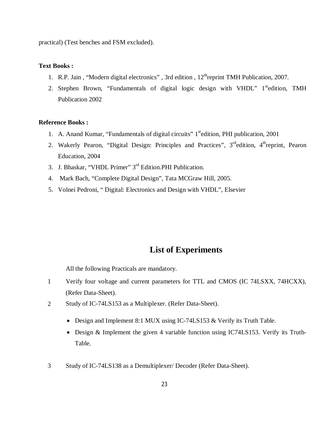practical) (Test benches and FSM excluded).

### **Text Books :**

- 1. R.P. Jain, "Modern digital electronics", 3rd edition,  $12^{th}$ reprint TMH Publication, 2007.
- 2. Stephen Brown, "Fundamentals of digital logic design with VHDL"  $1<sup>st</sup>$ edition, TMH Publication 2002

#### **Reference Books :**

- 1. A. Anand Kumar, "Fundamentals of digital circuits" 1<sup>st</sup>edition, PHI publication, 2001
- 2. Wakerly Pearon, "Digital Design: Principles and Practices", 3<sup>rd</sup>edition, 4<sup>th</sup>reprint, Pearon Education, 2004
- 3. J. Bhaskar, "VHDL Primer" 3rd Edition.PHI Publication.
- 4. Mark Bach, "Complete Digital Design", Tata MCGraw Hill, 2005.
- 5. Volnei Pedroni, " Digital: Electronics and Design with VHDL", Elsevier

# **List of Experiments**

All the following Practicals are mandatory.

- 1 Verify four voltage and current parameters for TTL and CMOS (IC 74LSXX, 74HCXX), (Refer Data-Sheet).
- 2 Study of IC-74LS153 as a Multiplexer. (Refer Data-Sheet).
	- Design and Implement 8:1 MUX using IC-74LS153 & Verify its Truth Table.
	- Design & Implement the given 4 variable function using IC74LS153. Verify its Truth-Table.
- 3 Study of IC-74LS138 as a Demultiplexer/ Decoder (Refer Data-Sheet).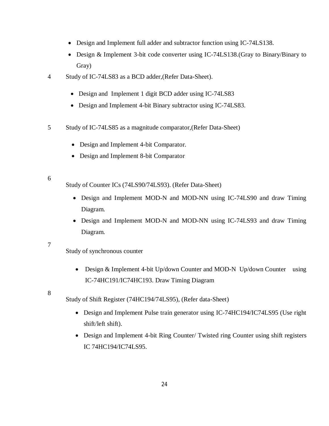- Design and Implement full adder and subtractor function using IC-74LS138.
- Design & Implement 3-bit code converter using IC-74LS138.(Gray to Binary/Binary to Gray)
- 4 Study of IC-74LS83 as a BCD adder,(Refer Data-Sheet).
	- Design and Implement 1 digit BCD adder using IC-74LS83
	- Design and Implement 4-bit Binary subtractor using IC-74LS83.
- 5 Study of IC-74LS85 as a magnitude comparator,(Refer Data-Sheet)
	- Design and Implement 4-bit Comparator.
	- Design and Implement 8-bit Comparator

### 6

Study of Counter ICs (74LS90/74LS93). (Refer Data-Sheet)

- Design and Implement MOD-N and MOD-NN using IC-74LS90 and draw Timing Diagram.
- Design and Implement MOD-N and MOD-NN using IC-74LS93 and draw Timing Diagram.

#### 7

Study of synchronous counter

• Design & Implement 4-bit Up/down Counter and MOD-N Up/down Counter using IC-74HC191/IC74HC193. Draw Timing Diagram

#### 8

Study of Shift Register (74HC194/74LS95), (Refer data-Sheet)

- Design and Implement Pulse train generator using IC-74HC194/IC74LS95 (Use right shift/left shift).
- Design and Implement 4-bit Ring Counter/ Twisted ring Counter using shift registers IC 74HC194/IC74LS95.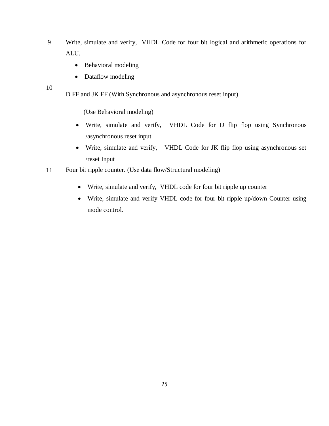- 9 Write, simulate and verify, VHDL Code for four bit logical and arithmetic operations for ALU.
	- Behavioral modeling
	- Dataflow modeling

10

D FF and JK FF (With Synchronous and asynchronous reset input)

(Use Behavioral modeling)

- Write, simulate and verify, VHDL Code for D flip flop using Synchronous /asynchronous reset input
- Write, simulate and verify, VHDL Code for JK flip flop using asynchronous set /reset Input
- 11 Four bit ripple counter**.** (Use data flow/Structural modeling)
	- Write, simulate and verify, VHDL code for four bit ripple up counter
	- Write, simulate and verify VHDL code for four bit ripple up/down Counter using mode control.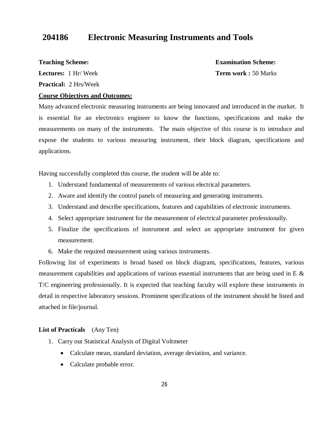# **204186 Electronic Measuring Instruments and Tools**

**Teaching Scheme:**

**Lectures:** 1 Hr/ Week

**Practical:** 2 Hrs/Week

**Examination Scheme: Term work :** 50 Marks

### **Course Objectives and Outcomes:**

Many advanced electronic measuring instruments are being innovated and introduced in the market. It is essential for an electronics engineer to know the functions, specifications and make the measurements on many of the instruments. The main objective of this course is to introduce and expose the students to various measuring instrument, their block diagram, specifications and applications.

Having successfully completed this course, the student will be able to:

- 1. Understand fundamental of measurements of various electrical parameters.
- 2. Aware and identify the control panels of measuring and generating instruments.
- 3. Understand and describe specifications, features and capabilities of electronic instruments.
- 4. Select appropriate instrument for the measurement of electrical parameter professionally.
- 5. Finalize the specifications of instrument and select an appropriate instrument for given measurement.
- 6. Make the required measurement using various instruments.

Following list of experiments is broad based on block diagram, specifications, features, various measurement capabilities and applications of various essential instruments that are being used in E  $\&$ T/C engineering professionally. It is expected that teaching faculty will explore these instruments in detail in respective laboratory sessions. Prominent specifications of the instrument should be listed and attached in file/journal.

#### **List of Practicals** (Any Ten)

- 1. Carry out Statistical Analysis of Digital Voltmeter
	- Calculate mean, standard deviation, average deviation, and variance.
	- Calculate probable error.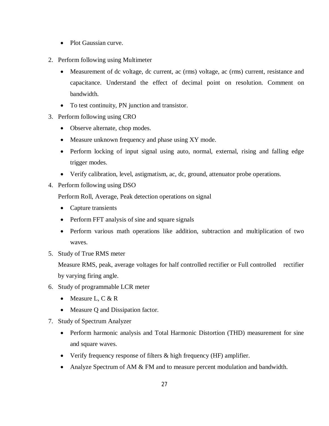- Plot Gaussian curve.
- 2. Perform following using Multimeter
	- Measurement of dc voltage, dc current, ac (rms) voltage, ac (rms) current, resistance and capacitance. Understand the effect of decimal point on resolution. Comment on bandwidth.
	- To test continuity, PN junction and transistor.
- 3. Perform following using CRO
	- Observe alternate, chop modes.
	- Measure unknown frequency and phase using XY mode.
	- Perform locking of input signal using auto, normal, external, rising and falling edge trigger modes.
	- Verify calibration, level, astigmatism, ac, dc, ground, attenuator probe operations.
- 4. Perform following using DSO

Perform Roll, Average, Peak detection operations on signal

- Capture transients
- Perform FFT analysis of sine and square signals
- Perform various math operations like addition, subtraction and multiplication of two waves.
- 5. Study of True RMS meter

Measure RMS, peak, average voltages for half controlled rectifier or Full controlled rectifier by varying firing angle.

- 6. Study of programmable LCR meter
	- Measure L, C  $&R$
	- Measure Q and Dissipation factor.
- 7. Study of Spectrum Analyzer
	- Perform harmonic analysis and Total Harmonic Distortion (THD) measurement for sine and square waves.
	- Verify frequency response of filters & high frequency (HF) amplifier.
	- Analyze Spectrum of AM & FM and to measure percent modulation and bandwidth.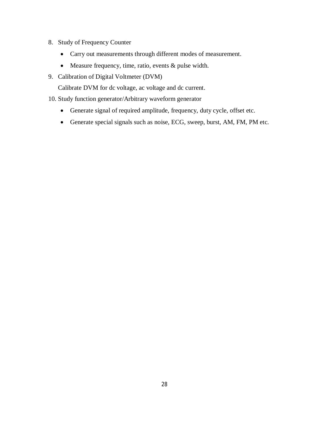- 8. Study of Frequency Counter
	- Carry out measurements through different modes of measurement.
	- Measure frequency, time, ratio, events & pulse width.
- 9. Calibration of Digital Voltmeter (DVM)

Calibrate DVM for dc voltage, ac voltage and dc current.

10. Study function generator/Arbitrary waveform generator

- Generate signal of required amplitude, frequency, duty cycle, offset etc.
- Generate special signals such as noise, ECG, sweep, burst, AM, FM, PM etc.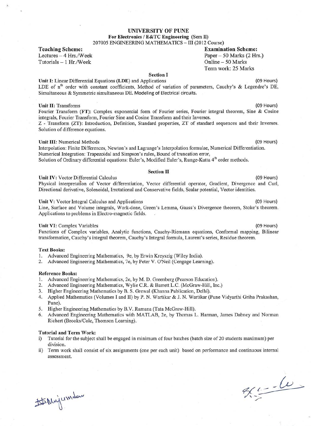#### **UNIVERSITY OF PUNE** For Electronics / E&TC Engineering (Sem II) 207005 ENGINEERING MATHEMATICS - III (2012 Course)

**Teaching Scheme:** Lectures - 4 Hrs./Week Tutorials  $-1$  Hr./Week

**Examination Scheme:** Paper  $-50$  Marks (2 Hrs.) Online - 50 Marks Term work: 25 Marks

#### **Section I**

Unit I: Linear Differential Equations (LDE) and Applications LDE of n<sup>th</sup> order with constant coefficients, Method of variation of parameters, Cauchy's & Legendre's DE, Simultaneous & Symmetric simultaneous DE. Modeling of Electrical circuits.

#### **Unit II: Transforms**

Fourier Transform (FT): Complex exponential form of Fourier series, Fourier integral theorem, Sine & Cosine integrals, Fourier Transform, Fourier Sine and Cosine Transform and their Inverses. Z - Transform (ZT): Introduction, Definition, Standard properties, ZT of standard sequences and their Inverses. Solution of difference equations.

#### **Unit III:** Numerical Methods

Interpolation: Finite Differences, Newton's and Lagrange's Interpolation formulae, Numerical Differentiation. Numerical Integration: Trapezoidal and Simpson's rules, Bound of truncation error, Solution of Ordinary differential equations: Euler's, Modified Euler's, Runge-Kutta 4<sup>th</sup> order methods.

#### **Section II**

Unit IV: Vector Differential Calculus

Physical interpretation of Vector differentiation, Vector differential operator, Gradient, Divergence and Curl, Directional derivative, Solenoidal, Irrotational and Conservative fields, Scalar potential, Vector identities.

Unit V: Vector Integral Calculus and Applications

Line, Surface and Volume integrals, Work-done, Green's Lemma, Gauss's Divergence theorem, Stoke's theorem. Applications to problems in Electro-magnetic fields.

#### Unit VI: Complex Variables

Functions of Complex variables, Analytic functions, Cauchy-Riemann equations, Conformal mapping, Bilinear transformation, Cauchy's integral theorem, Cauchy's Integral formula, Laurent's series, Residue theorem.

#### **Text Books:**

- 1. Advanced Engineering Mathematics, 9e, by Erwin Kreyszig (Wiley India).
- 2. Advanced Engineering Mathematics, 7e, by Peter V. O'Neil (Cengage Learning).

#### **Reference Books:**

- 1. Advanced Engineering Mathematics, 2e, by M. D. Greenberg (Pearson Education).
- 2. Advanced Engineering Mathematics, Wylie C.R. & Barrett L.C. (McGraw-Hill, Inc.)
- 3. Higher Engineering Mathematics by B. S. Grewal (Khanna Publication, Delhi).
- 4. Applied Mathematics (Volumes I and II) by P. N. Wartikar & J. N. Wartikar (Pune Vidyarthi Griha Prakashan, Pune).
- 5. Higher Engineering Mathematics by B.V. Ramana (Tata McGraw-Hill).
- Advanced Engineering Mathematics with MATLAB, 2e, by Thomas L. Harman, James Dabney and Norman 6. Richert (Brooks/Cole, Thomson Learning).

#### **Tutorial and Term Work:**

- Tutorial for the subject shall be engaged in minimum of four batches (batch size of 20 students maximum) per i) division.
- Term work shall consist of six assignments (one per each unit) based on performance and continuous internal  $\mathbf{ii}$ assessment.

# Mujumdan

 $90 - 60$ 

(09 Hours)

#### (09 Hours)

(09 Hours)

(09 Hours)

(09 Hours)

(09 Hours)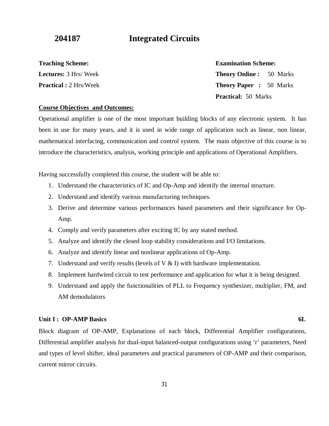**204187 Integrated Circuits**

**Teaching Scheme:** 

**Lectures:** 3 Hrs/ Week **Practical :** 2 Hrs/Week

### **Examination Scheme:**

**Theory Online :** 50 Marks **Theory Paper :** 50 Marks **Practical:** 50 Marks

#### **Course Objectives and Outcomes:**

Operational amplifier is one of the most important building blocks of any electronic system. It has been in use for many years, and it is used in wide range of application such as linear, non linear, mathematical interfacing, communication and control system. The main objective of this course is to introduce the characteristics, analysis, working principle and applications of Operational Amplifiers.

Having successfully completed this course, the student will be able to:

- 1. Understand the characteristics of IC and Op-Amp and identify the internal structure.
- 2. Understand and identify various manufacturing techniques.
- 3. Derive and determine various performances based parameters and their significance for Op-Amp.
- 4. Comply and verify parameters after exciting IC by any stated method.
- 5. Analyze and identify the closed loop stability considerations and I/O limitations.
- 6. Analyze and identify linear and nonlinear applications of Op-Amp.
- 7. Understand and verify results (levels of  $\nabla \& D$ ) with hardware implementation.
- 8. Implement hardwired circuit to test performance and application for what it is being designed.
- 9. Understand and apply the functionalities of PLL to Frequency synthesizer, multiplier, FM, and AM demodulators

### **Unit I : OP-AMP Basics** 6L

Block diagram of OP-AMP, Explanations of each block, Differential Amplifier configurations, Differential amplifier analysis for dual-input balanced-output configurations using 'r' parameters, Need and types of level shifter, ideal parameters and practical parameters of OP-AMP and their comparison, current mirror circuits.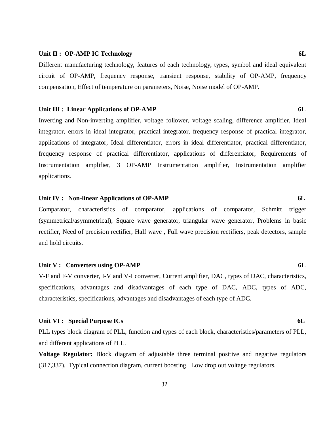#### Unit II : OP-AMP IC Technology 6L

Different manufacturing technology, features of each technology, types, symbol and ideal equivalent circuit of OP-AMP, frequency response, transient response, stability of OP-AMP, frequency compensation, Effect of temperature on parameters, Noise, Noise model of OP-AMP.

#### **Unit III** : Linear Applications of OP-AMP 6L

Inverting and Non-inverting amplifier, voltage follower, voltage scaling, difference amplifier, Ideal integrator, errors in ideal integrator, practical integrator, frequency response of practical integrator, applications of integrator, Ideal differentiator, errors in ideal differentiator, practical differentiator, frequency response of practical differentiator, applications of differentiator, Requirements of Instrumentation amplifier, 3 OP-AMP Instrumentation amplifier, Instrumentation amplifier applications.

#### Unit IV : Non-linear Applications of OP-AMP 6L

Comparator, characteristics of comparator, applications of comparator, Schmitt trigger (symmetrical/asymmetrical), Square wave generator, triangular wave generator, Problems in basic rectifier, Need of precision rectifier, Half wave , Full wave precision rectifiers, peak detectors, sample and hold circuits.

#### Unit V : Converters using OP-AMP 6L

V-F and F-V converter, I-V and V-I converter, Current amplifier, DAC, types of DAC, characteristics, specifications, advantages and disadvantages of each type of DAC, ADC, types of ADC, characteristics, specifications, advantages and disadvantages of each type of ADC.

### Unit VI : Special Purpose ICs 6L

PLL types block diagram of PLL, function and types of each block, characteristics/parameters of PLL, and different applications of PLL.

**Voltage Regulator:** Block diagram of adjustable three terminal positive and negative regulators (317,337). Typical connection diagram, current boosting. Low drop out voltage regulators.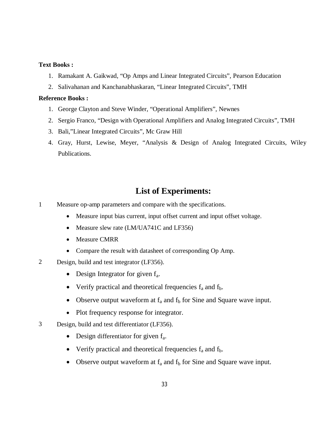### **Text Books :**

- 1. Ramakant A. Gaikwad, "Op Amps and Linear Integrated Circuits", Pearson Education
- 2. Salivahanan and Kanchanabhaskaran, "Linear Integrated Circuits", TMH

#### **Reference Books :**

- 1. George Clayton and Steve Winder, "Operational Amplifiers", Newnes
- 2. Sergio Franco, "Design with Operational Amplifiers and Analog Integrated Circuits", TMH
- 3. Bali,"Linear Integrated Circuits", Mc Graw Hill
- 4. Gray, Hurst, Lewise, Meyer, "Analysis & Design of Analog Integrated Circuits, Wiley Publications.

# **List of Experiments:**

- 1 Measure op-amp parameters and compare with the specifications.
	- Measure input bias current, input offset current and input offset voltage.
	- Measure slew rate (LM/UA741C and LF356)
	- Measure CMRR
	- Compare the result with datasheet of corresponding Op Amp.
- 2 Design, build and test integrator (LF356).
	- Design Integrator for given  $f_a$ .
	- Verify practical and theoretical frequencies  $f_a$  and  $f_b$ .
	- Observe output waveform at  $f_a$  and  $f_b$  for Sine and Square wave input.
	- Plot frequency response for integrator.
- 3 Design, build and test differentiator (LF356).
	- Design differentiator for given  $f_a$ .
	- Verify practical and theoretical frequencies  $f_a$  and  $f_b$ .
	- Observe output waveform at  $f_a$  and  $f_b$  for Sine and Square wave input.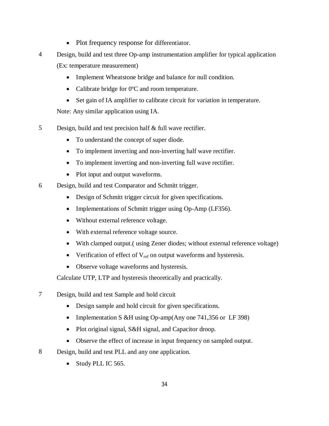- Plot frequency response for differentiator.
- 4 Design, build and test three Op-amp instrumentation amplifier for typical application (Ex: temperature measurement)
	- Implement Wheatstone bridge and balance for null condition.
	- Calibrate bridge for 0°C and room temperature.
	- Set gain of IA amplifier to calibrate circuit for variation in temperature.

Note: Any similar application using IA.

- 5 Design, build and test precision half & full wave rectifier.
	- To understand the concept of super diode.
	- To implement inverting and non-inverting half wave rectifier.
	- To implement inverting and non-inverting full wave rectifier.
	- Plot input and output waveforms.
- 6 Design, build and test Comparator and Schmitt trigger.
	- Design of Schmitt trigger circuit for given specifications.
	- Implementations of Schmitt trigger using Op-Amp (LF356).
	- Without external reference voltage.
	- With external reference voltage source.
	- With clamped output.( using Zener diodes; without external reference voltage)
	- Verification of effect of  $V_{ref}$  on output waveforms and hysteresis.
	- Observe voltage waveforms and hysteresis.

Calculate UTP, LTP and hysteresis theoretically and practically.

- 7 Design, build and test Sample and hold circuit
	- Design sample and hold circuit for given specifications.
	- Implementation S & H using Op-amp(Any one 741,356 or LF 398)
	- Plot original signal, S&H signal, and Capacitor droop.
	- Observe the effect of increase in input frequency on sampled output.
- 8 Design, build and test PLL and any one application.
	- Study PLL IC 565.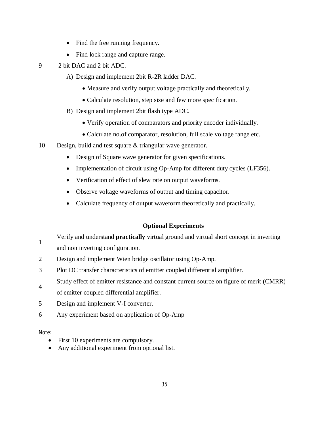- Find the free running frequency.
- Find lock range and capture range.
- 9 2 bit DAC and 2 bit ADC.
	- A) Design and implement 2bit R-2R ladder DAC.
		- Measure and verify output voltage practically and theoretically.
		- Calculate resolution, step size and few more specification.
	- B) Design and implement 2bit flash type ADC.
		- Verify operation of comparators and priority encoder individually.
		- Calculate no.of comparator, resolution, full scale voltage range etc.
- 10 Design, build and test square & triangular wave generator.
	- Design of Square wave generator for given specifications.
	- Implementation of circuit using Op-Amp for different duty cycles (LF356).
	- Verification of effect of slew rate on output waveforms.
	- Observe voltage waveforms of output and timing capacitor.
	- Calculate frequency of output waveform theoretically and practically.

### **Optional Experiments**

Verify and understand **practically** virtual ground and virtual short concept in inverting

1 and non inverting configuration.

- 2 Design and implement Wien bridge oscillator using Op-Amp.
- 3 Plot DC transfer characteristics of emitter coupled differential amplifier.
- 4 Study effect of emitter resistance and constant current source on figure of merit (CMRR)
- of emitter coupled differential amplifier.
- 5 Design and implement V-I converter.
- 6 Any experiment based on application of Op-Amp

Note:

- First 10 experiments are compulsory.
- Any additional experiment from optional list.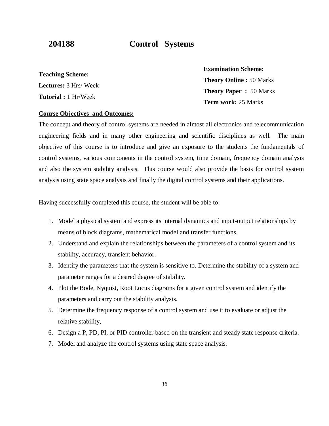# **204188 Control Systems**

**Teaching Scheme: Lectures:** 3 Hrs/ Week **Tutorial :** 1 Hr/Week

**Examination Scheme: Theory Online :** 50 Marks **Theory Paper :** 50 Marks **Term work:** 25 Marks

### **Course Objectives and Outcomes:**

The concept and theory of control systems are needed in almost all electronics and telecommunication engineering fields and in many other engineering and scientific disciplines as well. The main objective of this course is to introduce and give an exposure to the students the fundamentals of control systems, various components in the control system, time domain, frequency domain analysis and also the system stability analysis. This course would also provide the basis for control system analysis using state space analysis and finally the digital control systems and their applications.

Having successfully completed this course, the student will be able to:

- 1. Model a physical system and express its internal dynamics and input-output relationships by means of block diagrams, mathematical model and transfer functions.
- 2. Understand and explain the relationships between the parameters of a control system and its stability, accuracy, transient behavior.
- 3. Identify the parameters that the system is sensitive to. Determine the stability of a system and parameter ranges for a desired degree of stability.
- 4. Plot the Bode, Nyquist, Root Locus diagrams for a given control system and identify the parameters and carry out the stability analysis.
- 5. Determine the frequency response of a control system and use it to evaluate or adjust the relative stability,
- 6. Design a P, PD, PI, or PID controller based on the transient and steady state response criteria.
- 7. Model and analyze the control systems using state space analysis.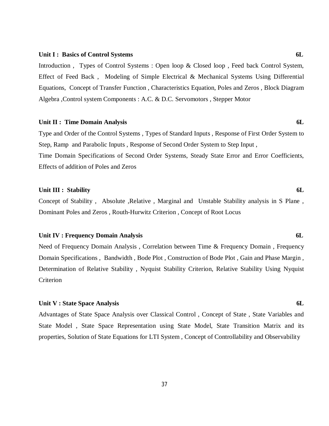#### Unit I : Basics of Control Systems 6L

Introduction , Types of Control Systems : Open loop & Closed loop , Feed back Control System, Effect of Feed Back , Modeling of Simple Electrical & Mechanical Systems Using Differential Equations, Concept of Transfer Function , Characteristics Equation, Poles and Zeros , Block Diagram Algebra ,Control system Components : A.C. & D.C. Servomotors , Stepper Motor

#### **Unit II : Time Domain Analysis 6L**

Type and Order of the Control Systems , Types of Standard Inputs , Response of First Order System to Step, Ramp and Parabolic Inputs , Response of Second Order System to Step Input , Time Domain Specifications of Second Order Systems, Steady State Error and Error Coefficients,

Effects of addition of Poles and Zeros

#### Unit III : Stability 6L

Concept of Stability, Absolute , Relative, Marginal and Unstable Stability analysis in S Plane, Dominant Poles and Zeros , Routh-Hurwitz Criterion , Concept of Root Locus

#### **Unit IV : Frequency Domain Analysis 6L**

Need of Frequency Domain Analysis , Correlation between Time & Frequency Domain , Frequency Domain Specifications , Bandwidth , Bode Plot , Construction of Bode Plot , Gain and Phase Margin , Determination of Relative Stability , Nyquist Stability Criterion, Relative Stability Using Nyquist **Criterion** 

#### **Unit V : State Space Analysis 6L**

Advantages of State Space Analysis over Classical Control , Concept of State , State Variables and State Model , State Space Representation using State Model, State Transition Matrix and its properties, Solution of State Equations for LTI System , Concept of Controllability and Observability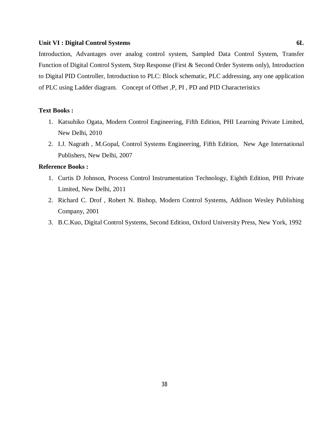#### **Unit VI : Digital Control Systems 6L**

Introduction, Advantages over analog control system, Sampled Data Control System, Transfer Function of Digital Control System, Step Response (First & Second Order Systems only), Introduction to Digital PID Controller, Introduction to PLC: Block schematic, PLC addressing, any one application of PLC using Ladder diagram. Concept of Offset ,P, PI , PD and PID Characteristics

### **Text Books :**

- 1. Katsuhiko Ogata, Modern Control Engineering, Fifth Edition, PHI Learning Private Limited, New Delhi, 2010
- 2. I.J. Nagrath , M.Gopal, Control Systems Engineering, Fifth Edition, New Age International Publishers, New Delhi, 2007

### **Reference Books :**

- 1. Curtis D Johnson, Process Control Instrumentation Technology, Eighth Edition, PHI Private Limited, New Delhi, 2011
- 2. Richard C. Drof , Robert N. Bishop, Modern Control Systems, Addison Wesley Publishing Company, 2001
- 3. B.C.Kuo, Digital Control Systems, Second Edition, Oxford University Press, New York, 1992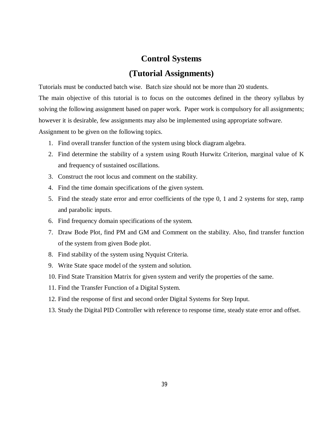# **Control Systems**

# **(Tutorial Assignments)**

Tutorials must be conducted batch wise. Batch size should not be more than 20 students.

The main objective of this tutorial is to focus on the outcomes defined in the theory syllabus by solving the following assignment based on paper work. Paper work is compulsory for all assignments; however it is desirable, few assignments may also be implemented using appropriate software.

Assignment to be given on the following topics.

- 1. Find overall transfer function of the system using block diagram algebra.
- 2. Find determine the stability of a system using Routh Hurwitz Criterion, marginal value of K and frequency of sustained oscillations.
- 3. Construct the root locus and comment on the stability.
- 4. Find the time domain specifications of the given system.
- 5. Find the steady state error and error coefficients of the type 0, 1 and 2 systems for step, ramp and parabolic inputs.
- 6. Find frequency domain specifications of the system.
- 7. Draw Bode Plot, find PM and GM and Comment on the stability. Also, find transfer function of the system from given Bode plot.
- 8. Find stability of the system using Nyquist Criteria.
- 9. Write State space model of the system and solution.
- 10. Find State Transition Matrix for given system and verify the properties of the same.
- 11. Find the Transfer Function of a Digital System.
- 12. Find the response of first and second order Digital Systems for Step Input.
- 13. Study the Digital PID Controller with reference to response time, steady state error and offset.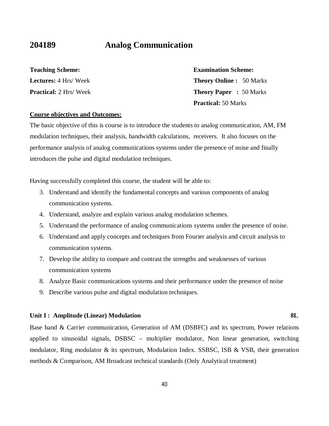# **204189 Analog Communication**

**Teaching Scheme: Lectures:** 4 Hrs/ Week **Practical:** 2 Hrs/ Week **Examination Scheme: Theory Online :** 50 Marks **Theory Paper :** 50 Marks **Practical:** 50 Marks

#### **Course objectives and Outcomes:**

The basic objective of this is course is to introduce the students to analog communication, AM, FM modulation techniques, their analysis, bandwidth calculations, receivers. It also focuses on the performance analysis of analog communications systems under the presence of noise and finally introduces the pulse and digital modulation techniques.

Having successfully completed this course, the student will be able to:

- 3. Understand and identify the fundamental concepts and various components of analog communication systems.
- 4. Understand, analyze and explain various analog modulation schemes.
- 5. Understand the performance of analog communications systems under the presence of noise.
- 6. Understand and apply concepts and techniques from Fourier analysis and circuit analysis to communication systems.
- 7. Develop the ability to compare and contrast the strengths and weaknesses of various communication systems
- 8. Analyze Basic communications systems and their performance under the presence of noise
- 9. Describe various pulse and digital modulation techniques.

#### Unit I : Amplitude (Linear) Modulation 8L

Base band & Carrier communication, Generation of AM (DSBFC) and its spectrum, Power relations applied to sinusoidal signals, DSBSC – multiplier modulator, Non linear generation, switching modulator, Ring modulator & its spectrum, Modulation Index. SSBSC, ISB & VSB, their generation methods & Comparison, AM Broadcast technical standards (Only Analytical treatment)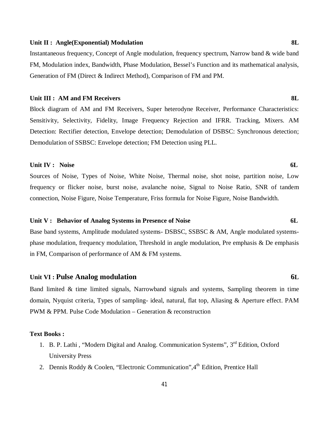#### Unit II : Angle(Exponential) Modulation **8L**

Instantaneous frequency, Concept of Angle modulation, frequency spectrum, Narrow band & wide band FM, Modulation index, Bandwidth, Phase Modulation, Bessel's Function and its mathematical analysis, Generation of FM (Direct & Indirect Method), Comparison of FM and PM.

#### **Unit III : AM and FM Receivers 8L**

Block diagram of AM and FM Receivers, Super heterodyne Receiver, Performance Characteristics: Sensitivity, Selectivity, Fidelity, Image Frequency Rejection and IFRR. Tracking, Mixers. AM Detection: Rectifier detection, Envelope detection; Demodulation of DSBSC: Synchronous detection; Demodulation of SSBSC: Envelope detection; FM Detection using PLL.

#### **Unit IV :** Noise 6L

Sources of Noise, Types of Noise, White Noise, Thermal noise, shot noise, partition noise, Low frequency or flicker noise, burst noise, avalanche noise, Signal to Noise Ratio, SNR of tandem connection, Noise Figure, Noise Temperature, Friss formula for Noise Figure, Noise Bandwidth.

#### Unit V : Behavior of Analog Systems in Presence of Noise 6L

Base band systems, Amplitude modulated systems- DSBSC, SSBSC & AM, Angle modulated systemsphase modulation, frequency modulation, Threshold in angle modulation, Pre emphasis & De emphasis in FM, Comparison of performance of AM & FM systems.

#### **Unit VI : Pulse Analog modulation 6L**

Band limited & time limited signals, Narrowband signals and systems, Sampling theorem in time domain, Nyquist criteria, Types of sampling- ideal, natural, flat top, Aliasing & Aperture effect. PAM PWM & PPM. Pulse Code Modulation – Generation & reconstruction

#### **Text Books :**

- 1. B. P. Lathi, "Modern Digital and Analog. Communication Systems", 3<sup>rd</sup> Edition, Oxford University Press
- 2. Dennis Roddy & Coolen, "Electronic Communication",  $4<sup>th</sup>$  Edition, Prentice Hall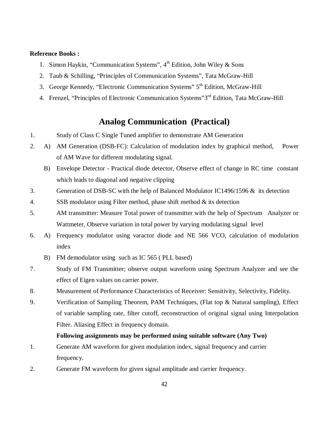### **Reference Books :**

- 1. Simon Haykin, "Communication Systems",  $4<sup>th</sup>$  Edition, John Wiley & Sons
- 2. Taub & Schilling, "Principles of Communication Systems", Tata McGraw-Hill
- 3. George Kennedy, "Electronic Communication Systems" 5<sup>th</sup> Edition, McGraw-Hill
- 4. Frenzel, "Principles of Electronic Communication Systems"3<sup>rd</sup> Edition, Tata McGraw-Hill

# **Analog Communication (Practical)**

- 1. Study of Class C Single Tuned amplifier to demonstrate AM Generation
- 2. A) AM Generation (DSB-FC): Calculation of modulation index by graphical method, Power of AM Wave for different modulating signal.
	- B) Envelope Detector Practical diode detector, Observe effect of change in RC time constant which leads to diagonal and negative clipping
- 3. Generation of DSB-SC with the help of Balanced Modulator IC1496/1596 & its detection
- 4. SSB modulator using Filter method, phase shift method & its detection
- 5. AM transmitter: Measure Total power of transmitter with the help of Spectrum Analyzer or Wattmeter, Observe variation in total power by varying modulating signal level
- 6. A) Frequency modulator using varactor diode and NE 566 VCO, calculation of modulation index
	- B) FM demodulator using such as IC 565 ( PLL based)
- 7. Study of FM Transmitter; observe output waveform using Spectrum Analyzer and see the effect of Eigen values on carrier power.
- 8. Measurement of Performance Characteristics of Receiver: Sensitivity, Selectivity, Fidelity.
- 9. Verification of Sampling Theorem, PAM Techniques, (Flat top & Natural sampling), Effect of variable sampling rate, filter cutoff, reconstruction of original signal using Interpolation Filter. Aliasing Effect in frequency domain.

### **Following assignments may be performed using suitable software (Any Two)**

- 1. Generate AM waveform for given modulation index, signal frequency and carrier frequency.
- 2. Generate FM waveform for given signal amplitude and carrier frequency.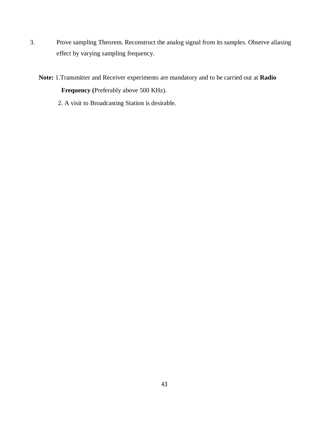- 3. Prove sampling Theorem. Reconstruct the analog signal from its samples. Observe aliasing effect by varying sampling frequency.
	- **Note:** 1.Transmitter and Receiver experiments are mandatory and to be carried out at **Radio Frequency (**Preferably above 500 KHz).
		- 2. A visit to Broadcasting Station is desirable.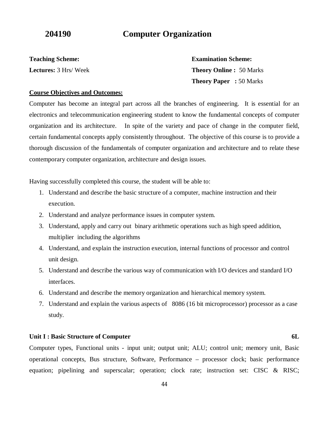# **204190 Computer Organization**

**Teaching Scheme: Lectures:** 3 Hrs/ Week **Examination Scheme: Theory Online :** 50 Marks **Theory Paper :** 50 Marks

#### **Course Objectives and Outcomes:**

Computer has become an integral part across all the branches of engineering. It is essential for an electronics and telecommunication engineering student to know the fundamental concepts of computer organization and its architecture. In spite of the variety and pace of change in the computer field, certain fundamental concepts apply consistently throughout. The objective of this course is to provide a thorough discussion of the fundamentals of computer organization and architecture and to relate these contemporary computer organization, architecture and design issues.

Having successfully completed this course, the student will be able to:

- 1. Understand and describe the basic structure of a computer, machine instruction and their execution.
- 2. Understand and analyze performance issues in computer system.
- 3. Understand, apply and carry out binary arithmetic operations such as high speed addition, multiplier including the algorithms
- 4. Understand, and explain the instruction execution, internal functions of processor and control unit design.
- 5. Understand and describe the various way of communication with I/O devices and standard I/O interfaces.
- 6. Understand and describe the memory organization and hierarchical memory system.
- 7. Understand and explain the various aspects of 8086 (16 bit microprocessor) processor as a case study.

#### **Unit I : Basic Structure of Computer 6L**

Computer types, Functional units - input unit; output unit; ALU; control unit; memory unit, Basic operational concepts, Bus structure, Software, Performance – processor clock; basic performance equation; pipelining and superscalar; operation; clock rate; instruction set: CISC & RISC;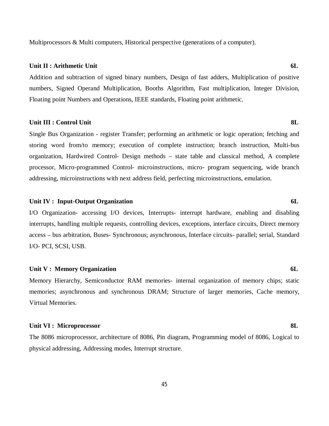Multiprocessors & Multi computers, Historical perspective (generations of a computer).

#### **Unit II : Arithmetic Unit 6L**

Addition and subtraction of signed binary numbers, Design of fast adders, Multiplication of positive numbers, Signed Operand Multiplication, Booths Algorithm, Fast multiplication, Integer Division, Floating point Numbers and Operations, IEEE standards, Floating point arithmetic.

#### **Unit III : Control Unit 8L**

Single Bus Organization - register Transfer; performing an arithmetic or logic operation; fetching and storing word from/to memory; execution of complete instruction; branch instruction, Multi-bus organization, Hardwired Control- Design methods – state table and classical method, A complete processor, Micro-programmed Control- microinstructions, micro- program sequencing, wide branch addressing, microinstructions with next address field, perfecting microinstructions, emulation.

#### Unit IV : Input-Output Organization 6L

I/O Organization- accessing I/O devices, Interrupts- interrupt hardware, enabling and disabling interrupts, handling multiple requests, controlling devices, exceptions, interface circuits, Direct memory access – bus arbitration, Buses- Synchronous; asynchronous, Interface circuits- parallel; serial, Standard I/O- PCI, SCSI, USB.

#### Unit V : Memory Organization 6L

Memory Hierarchy, Semiconductor RAM memories- internal organization of memory chips; static memories; asynchronous and synchronous DRAM; Structure of larger memories, Cache memory, Virtual Memories.

#### **Unit VI : Microprocessor 8L**

The 8086 microprocessor, architecture of 8086, Pin diagram, Programming model of 8086, Logical to physical addressing, Addressing modes, Interrupt structure.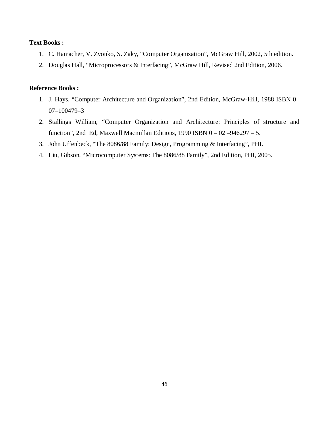### **Text Books :**

- 1. C. Hamacher, V. Zvonko, S. Zaky, "Computer Organization", McGraw Hill, 2002, 5th edition.
- 2. Douglas Hall, "Microprocessors & Interfacing", McGraw Hill, Revised 2nd Edition, 2006.

### **Reference Books :**

- 1. J. Hays, "Computer Architecture and Organization", 2nd Edition, McGraw-Hill, 1988 ISBN 0– 07–100479–3
- 2. Stallings William, "Computer Organization and Architecture: Principles of structure and function", 2nd Ed, Maxwell Macmillan Editions, 1990 ISBN  $0 - 02 - 946297 - 5$ .
- 3. John Uffenbeck, "The 8086/88 Family: Design, Programming & Interfacing", PHI.
- 4. Liu, Gibson, "Microcomputer Systems: The 8086/88 Family", 2nd Edition, PHI, 2005.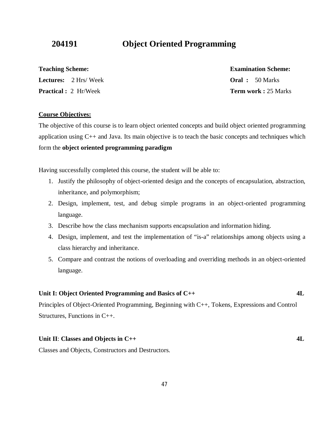# **204191 Object Oriented Programming**

**Teaching Scheme: Lectures:** 2 Hrs/ Week

**Practical :** 2 Hr/Week

# **Examination Scheme:**

**Oral :** 50 Marks **Term work :** 25 Marks

#### **Course Objectives:**

The objective of this course is to learn object oriented concepts and build object oriented programming application using  $C_{++}$  and Java. Its main objective is to teach the basic concepts and techniques which form the **object oriented programming paradigm**

Having successfully completed this course, the student will be able to:

- 1. Justify the philosophy of object-oriented design and the concepts of encapsulation, abstraction, inheritance, and polymorphism;
- 2. Design, implement, test, and debug simple programs in an object-oriented programming language.
- 3. Describe how the class mechanism supports encapsulation and information hiding.
- 4. Design, implement, and test the implementation of "is-a" relationships among objects using a class hierarchy and inheritance.
- 5. Compare and contrast the notions of overloading and overriding methods in an object-oriented language.

### **Unit I: Object Oriented Programming and Basics of C++ 4L**

Principles of Object-Oriented Programming, Beginning with C++, Tokens, Expressions and Control Structures, Functions in C++.

#### **Unit II**: **Classes and Objects in C++** 4L

Classes and Objects, Constructors and Destructors.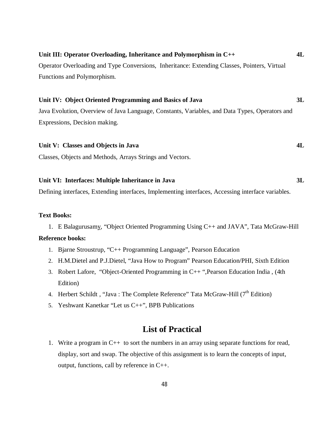| Unit III: Operator Overloading, Inheritance and Polymorphism in $C_{++}$                       | 4L |
|------------------------------------------------------------------------------------------------|----|
| Operator Overloading and Type Conversions, Inheritance: Extending Classes, Pointers, Virtual   |    |
| Functions and Polymorphism.                                                                    |    |
|                                                                                                |    |
| Unit IV: Object Oriented Programming and Basics of Java                                        | 3L |
| Java Evolution, Overview of Java Language, Constants, Variables, and Data Types, Operators and |    |
| Expressions, Decision making.                                                                  |    |
|                                                                                                |    |
| Unit V: Classes and Objects in Java                                                            | 4L |

Classes, Objects and Methods, Arrays Strings and Vectors.

#### **Unit VI: Interfaces: Multiple Inheritance in Java 3L**

Defining interfaces, Extending interfaces, Implementing interfaces, Accessing interface variables.

#### **Text Books:**

1. E Balagurusamy, "Object Oriented Programming Using C++ and JAVA", Tata McGraw-Hill

#### **Reference books:**

- 1. Bjarne Stroustrup, "C++ Programming Language", Pearson Education
- 2. H.M.Dietel and P.J.Dietel, "Java How to Program" Pearson Education/PHI, Sixth Edition
- 3. Robert Lafore, "Object-Oriented Programming in C++ ",Pearson Education India , (4th Edition)
- 4. Herbert Schildt, "Java: The Complete Reference" Tata McGraw-Hill (7<sup>th</sup> Edition)
- 5. Yeshwant Kanetkar "Let us C++", BPB Publications

# **List of Practical**

1. Write a program in C++ to sort the numbers in an array using separate functions for read, display, sort and swap. The objective of this assignment is to learn the concepts of input, output, functions, call by reference in C++.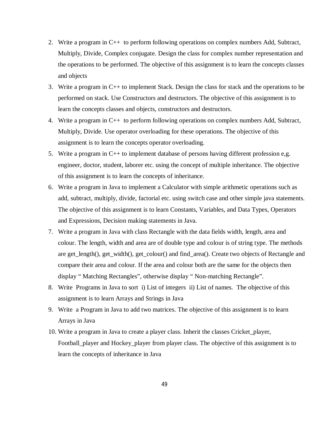- 2. Write a program in C++ to perform following operations on complex numbers Add, Subtract, Multiply, Divide, Complex conjugate. Design the class for complex number representation and the operations to be performed. The objective of this assignment is to learn the concepts classes and objects
- 3. Write a program in C++ to implement Stack. Design the class for stack and the operations to be performed on stack. Use Constructors and destructors. The objective of this assignment is to learn the concepts classes and objects, constructors and destructors.
- 4. Write a program in C++ to perform following operations on complex numbers Add, Subtract, Multiply, Divide. Use operator overloading for these operations. The objective of this assignment is to learn the concepts operator overloading.
- 5. Write a program in C++ to implement database of persons having different profession e,g. engineer, doctor, student, laborer etc. using the concept of multiple inheritance. The objective of this assignment is to learn the concepts of inheritance.
- 6. Write a program in Java to implement a Calculator with simple arithmetic operations such as add, subtract, multiply, divide, factorial etc. using switch case and other simple java statements. The objective of this assignment is to learn Constants, Variables, and Data Types, Operators and Expressions, Decision making statements in Java.
- 7. Write a program in Java with class Rectangle with the data fields width, length, area and colour. The length, width and area are of double type and colour is of string type. The methods are get\_length(), get\_width(), get\_colour() and find\_area(). Create two objects of Rectangle and compare their area and colour. If the area and colour both are the same for the objects then display " Matching Rectangles", otherwise display " Non-matching Rectangle".
- 8. Write Programs in Java to sort i) List of integers ii) List of names. The objective of this assignment is to learn Arrays and Strings in Java
- 9. Write a Program in Java to add two matrices. The objective of this assignment is to learn Arrays in Java
- 10. Write a program in Java to create a player class. Inherit the classes Cricket\_player, Football\_player and Hockey\_player from player class. The objective of this assignment is to learn the concepts of inheritance in Java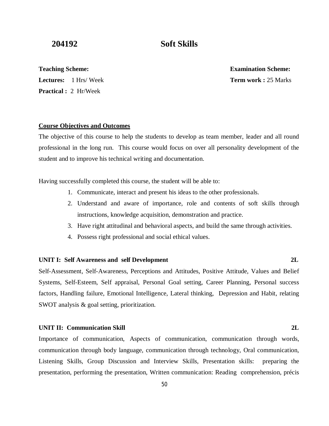# **204192 Soft Skills**

**Teaching Scheme:** 

**Lectures:** 1 Hrs/ Week

**Practical :** 2 Hr/Week

**Examination Scheme: Term work :** 25 Marks

#### **Course Objectives and Outcomes**

The objective of this course to help the students to develop as team member, leader and all round professional in the long run. This course would focus on over all personality development of the student and to improve his technical writing and documentation.

Having successfully completed this course, the student will be able to:

- 1. Communicate, interact and present his ideas to the other professionals.
- 2. Understand and aware of importance, role and contents of soft skills through instructions, knowledge acquisition, demonstration and practice.
- 3. Have right attitudinal and behavioral aspects, and build the same through activities.
- 4. Possess right professional and social ethical values.

#### **UNIT I: Self Awareness and self Development 2L**

Self-Assessment, Self-Awareness, Perceptions and Attitudes, Positive Attitude, Values and Belief Systems, Self-Esteem, Self appraisal, Personal Goal setting, Career Planning, Personal success factors, Handling failure, Emotional Intelligence, Lateral thinking, Depression and Habit, relating SWOT analysis & goal setting, prioritization.

#### **UNIT II: Communication Skill 2L**

Importance of communication, Aspects of communication, communication through words, communication through body language, communication through technology, Oral communication, Listening Skills, Group Discussion and Interview Skills, Presentation skills: preparing the presentation, performing the presentation, Written communication: Reading comprehension, précis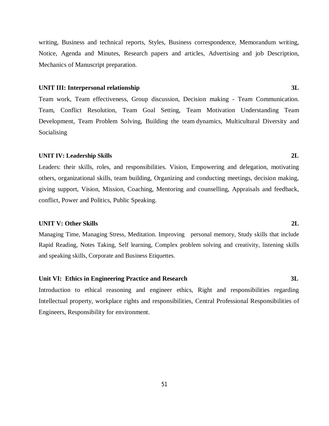writing, Business and technical reports, Styles, Business correspondence, Memorandum writing, Notice, Agenda and Minutes, Research papers and articles, Advertising and job Description, Mechanics of Manuscript preparation.

#### **UNIT III: Interpersonal relationship 3L**

Team work, Team effectiveness, Group discussion, Decision making - Team Communication. Team, Conflict Resolution, Team Goal Setting, Team Motivation Understanding Team Development, Team Problem Solving, Building the team dynamics, Multicultural Diversity and Socialising

#### **UNIT IV: Leadership Skills 2L**

Leaders: their skills, roles, and responsibilities. Vision, Empowering and delegation, motivating others, organizational skills, team building, Organizing and conducting meetings, decision making, giving support, Vision, Mission, Coaching, Mentoring and counselling, Appraisals and feedback, conflict, Power and Politics, Public Speaking.

#### **UNIT V: Other Skills 2L**

Managing Time, Managing Stress, Meditation. Improving personal memory, Study skills that include Rapid Reading, Notes Taking, Self learning, Complex problem solving and creativity, listening skills and speaking skills, Corporate and Business Etiquettes.

#### **Unit VI: Ethics in Engineering Practice and Research 3L**

Introduction to ethical reasoning and engineer ethics, Right and responsibilities regarding Intellectual property, workplace rights and responsibilities, Central Professional Responsibilities of Engineers, Responsibility for environment.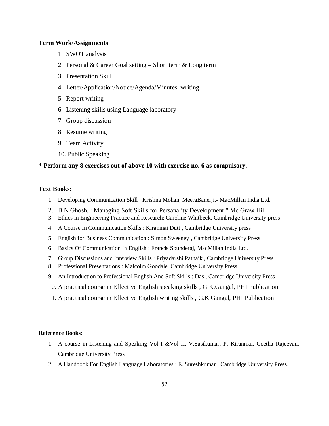#### **Term Work/Assignments**

- 1. SWOT analysis
- 2. Personal & Career Goal setting Short term & Long term
- 3 Presentation Skill
- 4. Letter/Application/Notice/Agenda/Minutes writing
- 5. Report writing
- 6. Listening skills using Language laboratory
- 7. Group discussion
- 8. Resume writing
- 9. Team Activity
- 10. Public Speaking

### **\* Perform any 8 exercises out of above 10 with exercise no. 6 as compulsory.**

#### **Text Books:**

- 1. Developing Communication Skill : Krishna Mohan, MeeraBanerji,- MacMillan India Ltd.
- 2. B N Ghosh, : Managing Soft Skills for Persanality Development " Mc Graw Hill
- 3. Ethics in Engineering Practice and Research: Caroline Whitbeck, Cambridge University press
- 4. A Course In Communication Skills : Kiranmai Dutt , Cambridge University press
- 5. English for Business Communication : Simon Sweeney , Cambridge University Press
- 6. Basics Of Communication In English : Francis Sounderaj, MacMillan India Ltd.
- 7. Group Discussions and Interview Skills : Priyadarshi Patnaik , Cambridge University Press
- 8. Professional Presentations : Malcolm Goodale, Cambridge University Press
- 9. An Introduction to Professional English And Soft Skills : Das , Cambridge University Press
- 10. A practical course in Effective English speaking skills , G.K.Gangal, PHI Publication
- 11. A practical course in Effective English writing skills , G.K.Gangal, PHI Publication

#### **Reference Books:**

- 1. A course in Listening and Speaking Vol I &Vol II, V.Sasikumar, P. Kiranmai, Geetha Rajeevan, Cambridge University Press
- 2. A Handbook For English Language Laboratories : E. Sureshkumar , Cambridge University Press.